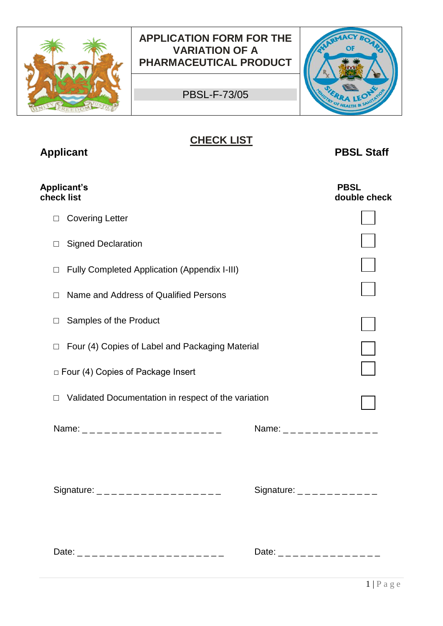

PBSL-F-73/05



# **CHECK LIST Applicant PBSL Staff**

| <b>Applicant's</b><br>check list                                                                                                                                                                                                                                                                                      | <b>PBSL</b><br>double check                                                                                                                                                                                                                                                                                           |
|-----------------------------------------------------------------------------------------------------------------------------------------------------------------------------------------------------------------------------------------------------------------------------------------------------------------------|-----------------------------------------------------------------------------------------------------------------------------------------------------------------------------------------------------------------------------------------------------------------------------------------------------------------------|
| <b>Covering Letter</b><br>$\Box$                                                                                                                                                                                                                                                                                      |                                                                                                                                                                                                                                                                                                                       |
| <b>Signed Declaration</b>                                                                                                                                                                                                                                                                                             |                                                                                                                                                                                                                                                                                                                       |
| <b>Fully Completed Application (Appendix I-III)</b><br>$\Box$                                                                                                                                                                                                                                                         |                                                                                                                                                                                                                                                                                                                       |
| Name and Address of Qualified Persons                                                                                                                                                                                                                                                                                 |                                                                                                                                                                                                                                                                                                                       |
| Samples of the Product<br>$\Box$                                                                                                                                                                                                                                                                                      |                                                                                                                                                                                                                                                                                                                       |
| Four (4) Copies of Label and Packaging Material                                                                                                                                                                                                                                                                       |                                                                                                                                                                                                                                                                                                                       |
| D Four (4) Copies of Package Insert                                                                                                                                                                                                                                                                                   |                                                                                                                                                                                                                                                                                                                       |
| Validated Documentation in respect of the variation<br>□                                                                                                                                                                                                                                                              |                                                                                                                                                                                                                                                                                                                       |
| Name: $\frac{1}{2}$ $\frac{1}{2}$ $\frac{1}{2}$ $\frac{1}{2}$ $\frac{1}{2}$ $\frac{1}{2}$ $\frac{1}{2}$ $\frac{1}{2}$ $\frac{1}{2}$ $\frac{1}{2}$ $\frac{1}{2}$ $\frac{1}{2}$ $\frac{1}{2}$ $\frac{1}{2}$ $\frac{1}{2}$ $\frac{1}{2}$ $\frac{1}{2}$ $\frac{1}{2}$ $\frac{1}{2}$ $\frac{1}{2}$ $\frac{1}{2}$ $\frac{1$ | Name: _ _ _ _ _ _ _ _ _ _ _ _ _                                                                                                                                                                                                                                                                                       |
|                                                                                                                                                                                                                                                                                                                       |                                                                                                                                                                                                                                                                                                                       |
| Signature:<br>Signature:                                                                                                                                                                                                                                                                                              |                                                                                                                                                                                                                                                                                                                       |
| Date: ______________________                                                                                                                                                                                                                                                                                          | Date: $\frac{1}{2}$ $\frac{1}{2}$ $\frac{1}{2}$ $\frac{1}{2}$ $\frac{1}{2}$ $\frac{1}{2}$ $\frac{1}{2}$ $\frac{1}{2}$ $\frac{1}{2}$ $\frac{1}{2}$ $\frac{1}{2}$ $\frac{1}{2}$ $\frac{1}{2}$ $\frac{1}{2}$ $\frac{1}{2}$ $\frac{1}{2}$ $\frac{1}{2}$ $\frac{1}{2}$ $\frac{1}{2}$ $\frac{1}{2}$ $\frac{1}{2}$ $\frac{1$ |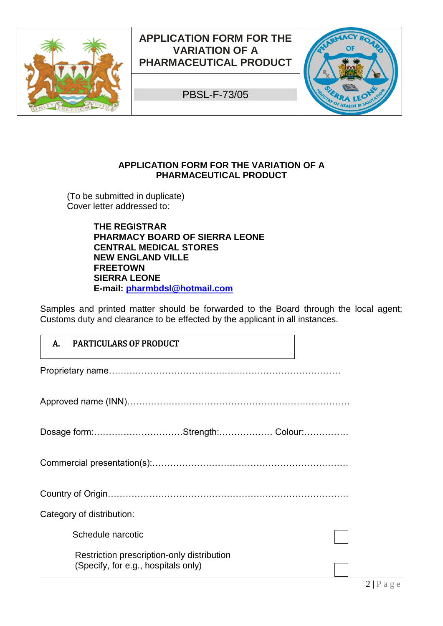

PBSL-F-73/05



#### **APPLICATION FORM FOR THE VARIATION OF A PHARMACEUTICAL PRODUCT**

(To be submitted in duplicate) Cover letter addressed to:

> **THE REGISTRAR PHARMACY BOARD OF SIERRA LEONE CENTRAL MEDICAL STORES NEW ENGLAND VILLE FREETOWN SIERRA LEONE E-mail: [pharmbdsl@hotmail.com](mailto:pharmbdsl@hotmail.com)**

Samples and printed matter should be forwarded to the Board through the local agent; Customs duty and clearance to be effected by the applicant in all instances.

| A. | <b>PARTICULARS OF PRODUCT</b> |
|----|-------------------------------|
|    |                               |

Dosage form:…………………………Strength:……………… Colour:……………

Commercial presentation(s):…………………………………………………………

Category of distribution:

Schedule narcotic

 Restriction prescription-only distribution (Specify, for e.g., hospitals only)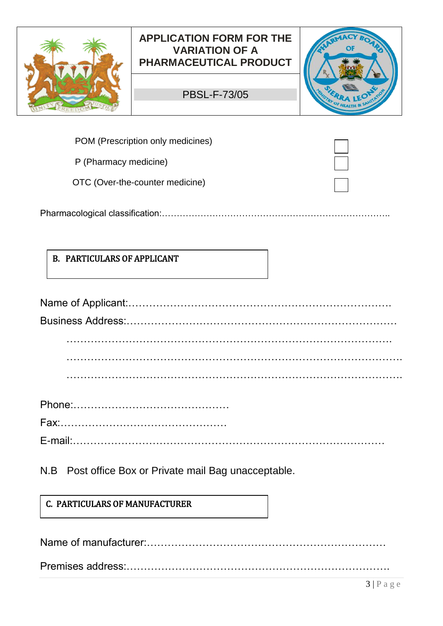

## PBSL-F-73/05



POM (Prescription only medicines)

P (Pharmacy medicine)

OTC (Over-the-counter medicine)

Pharmacological classification:…………………………………………………………………..

## B. PARTICULARS OF APPLICANT

Name of Applicant:…………………………………………………………………. Business Address:…………………………………………………………………… ……………………………………………………………………………………. …………………………………………………………………………………….

N.B Post office Box or Private mail Bag unacceptable.

# C. PARTICULARS OF MANUFACTURER

Name of manufacturer:……………………………………………………………

Premises address:………………………………………………………………….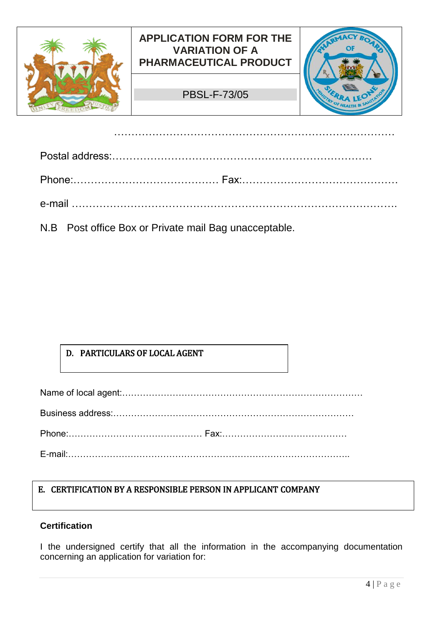

………………………………………………………………………

N.B Post office Box or Private mail Bag unacceptable.

## D. PARTICULARS OF LOCAL AGENT

Name of local agent:………………………………………………………………………

Business address:………………………………………………………………………

Phone:……………………………………… Fax:……………………………………

E-mail:…………………………………………………………………………………..

## E. CERTIFICATION BY A RESPONSIBLE PERSON IN APPLICANT COMPANY

#### **Certification**

I the undersigned certify that all the information in the accompanying documentation concerning an application for variation for: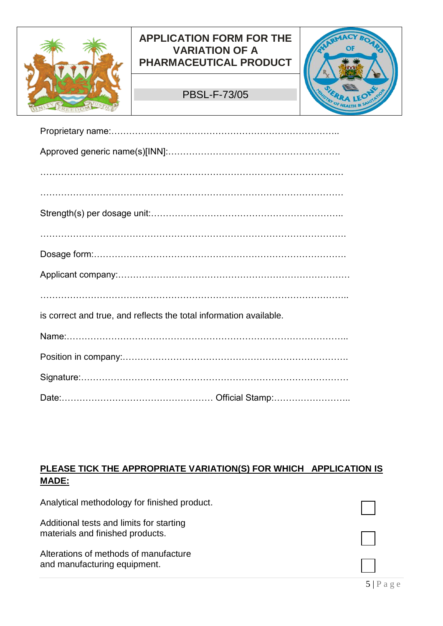

# PBSL-F-73/05



| is correct and true, and reflects the total information available. |
|--------------------------------------------------------------------|
|                                                                    |
|                                                                    |
|                                                                    |
|                                                                    |

## **PLEASE TICK THE APPROPRIATE VARIATION(S) FOR WHICH APPLICATION IS MADE:**

Analytical methodology for finished product. Additional tests and limits for starting materials and finished products. Alterations of methods of manufacture and manufacturing equipment.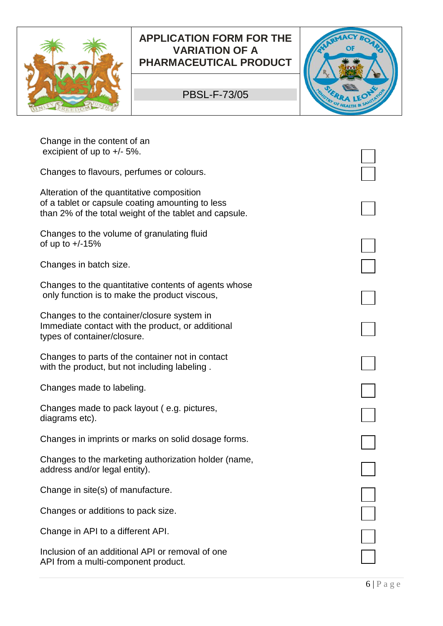



# PBSL-F-73/05

| Change in the content of an<br>excipient of up to $+/-5\%$ .                                                                                             |  |
|----------------------------------------------------------------------------------------------------------------------------------------------------------|--|
| Changes to flavours, perfumes or colours.                                                                                                                |  |
| Alteration of the quantitative composition<br>of a tablet or capsule coating amounting to less<br>than 2% of the total weight of the tablet and capsule. |  |
| Changes to the volume of granulating fluid<br>of up to $+/-15%$                                                                                          |  |
| Changes in batch size.                                                                                                                                   |  |
| Changes to the quantitative contents of agents whose<br>only function is to make the product viscous,                                                    |  |
| Changes to the container/closure system in<br>Immediate contact with the product, or additional<br>types of container/closure.                           |  |
| Changes to parts of the container not in contact<br>with the product, but not including labeling.                                                        |  |
| Changes made to labeling.                                                                                                                                |  |
| Changes made to pack layout (e.g. pictures,<br>diagrams etc).                                                                                            |  |
| Changes in imprints or marks on solid dosage forms.                                                                                                      |  |
| Changes to the marketing authorization holder (name,<br>address and/or legal entity).                                                                    |  |
| Change in site(s) of manufacture.                                                                                                                        |  |
| Changes or additions to pack size.                                                                                                                       |  |
| Change in API to a different API.                                                                                                                        |  |
| Inclusion of an additional API or removal of one<br>API from a multi-component product.                                                                  |  |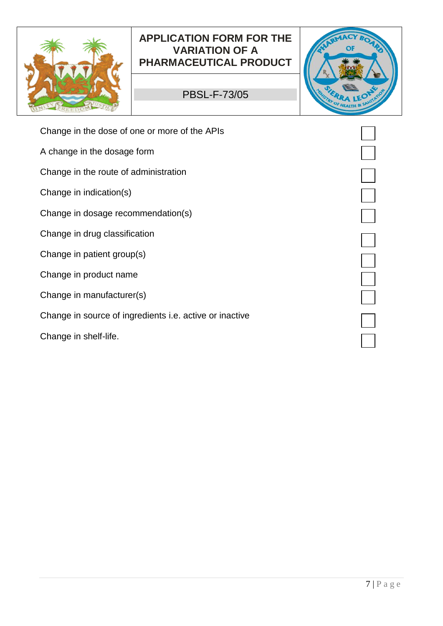

# PBSL-F-73/05



| Change in the dose of one or more of the APIs                  |  |
|----------------------------------------------------------------|--|
| A change in the dosage form                                    |  |
| Change in the route of administration                          |  |
| Change in indication(s)                                        |  |
| Change in dosage recommendation(s)                             |  |
| Change in drug classification                                  |  |
| Change in patient group(s)                                     |  |
| Change in product name                                         |  |
| Change in manufacturer(s)                                      |  |
| Change in source of ingredients <i>i.e.</i> active or inactive |  |
| Change in shelf-life.                                          |  |
|                                                                |  |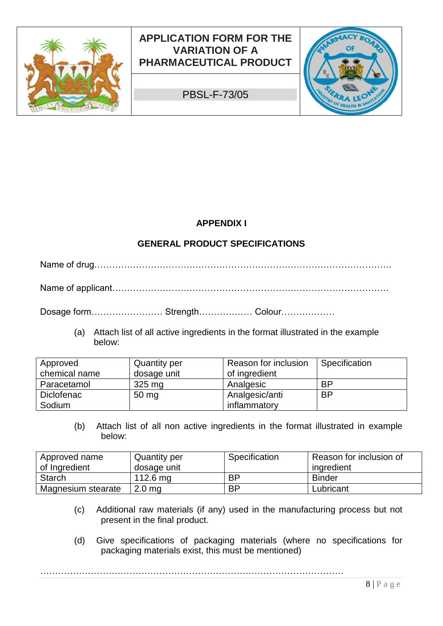

PBSL-F-73/05



## **APPENDIX I**

## **GENERAL PRODUCT SPECIFICATIONS**

Name of drug……………………………………………………………………………………….

Name of applicant…………………………………………………………………………………

Dosage form…………………… Strength……………… Colour………………

(a) Attach list of all active ingredients in the format illustrated in the example below:

| Approved<br>chemical name | <b>Quantity per</b><br>dosage unit | Reason for inclusion<br>of ingredient | Specification |
|---------------------------|------------------------------------|---------------------------------------|---------------|
| Paracetamol               | $325 \text{ mg}$                   | Analgesic                             | <b>BP</b>     |
| Diclofenac<br>Sodium      | 50 <sub>mg</sub>                   | Analgesic/anti<br>inflammatory        | <b>BP</b>     |

(b) Attach list of all non active ingredients in the format illustrated in example below:

| Approved name<br>of Ingredient | <b>Quantity per</b><br>dosage unit | Specification | Reason for inclusion of<br>ingredient |
|--------------------------------|------------------------------------|---------------|---------------------------------------|
| <b>Starch</b>                  | 112.6 $ma$                         | <b>BP</b>     | <b>Binder</b>                         |
| Magnesium stearate             | 2.0 <sub>mq</sub>                  | <b>BP</b>     | Lubricant                             |

- (c) Additional raw materials (if any) used in the manufacturing process but not present in the final product.
- (d) Give specifications of packaging materials (where no specifications for packaging materials exist, this must be mentioned)

…………………………………………………………………………………………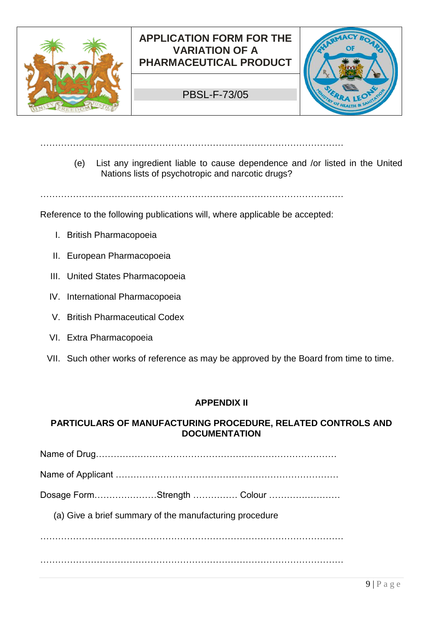

PBSL-F-73/05



…………………………………………………………………………………………

(e) List any ingredient liable to cause dependence and /or listed in the United Nations lists of psychotropic and narcotic drugs?

Reference to the following publications will, where applicable be accepted:

- I. British Pharmacopoeia
- II. European Pharmacopoeia
- III. United States Pharmacopoeia
- IV. International Pharmacopoeia
- V. British Pharmaceutical Codex
- VI. Extra Pharmacopoeia
- VII. Such other works of reference as may be approved by the Board from time to time.

#### **APPENDIX II**

#### **PARTICULARS OF MANUFACTURING PROCEDURE, RELATED CONTROLS AND DOCUMENTATION**

Name of Drug………………………………………………………………………

Name of Applicant …………………………………………………………………

Dosage Form…………………Strength …………… Colour ……………………

(a) Give a brief summary of the manufacturing procedure

 $\mathcal{L}^{(n)}$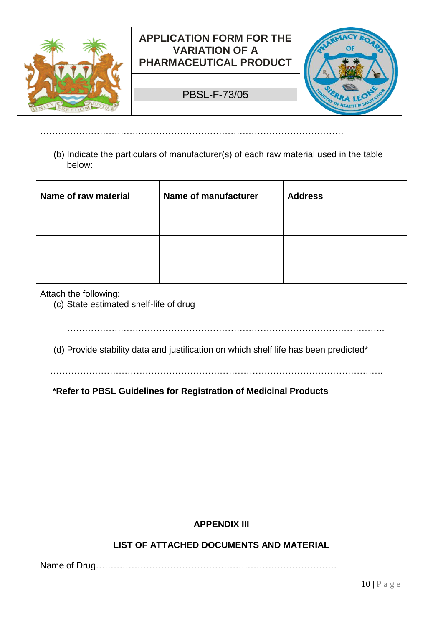

## PBSL-F-73/05

 $\mathcal{L}^{\text{max}}$ 



(b) Indicate the particulars of manufacturer(s) of each raw material used in the table below:

| Name of raw material | Name of manufacturer | <b>Address</b> |
|----------------------|----------------------|----------------|
|                      |                      |                |
|                      |                      |                |
|                      |                      |                |

Attach the following:

(c) State estimated shelf-life of drug

……………………………………………………………………………………………..

(d) Provide stability data and justification on which shelf life has been predicted\*

………………………………………………………………………………………………….

 **\*Refer to PBSL Guidelines for Registration of Medicinal Products**

## **APPENDIX III**

## **LIST OF ATTACHED DOCUMENTS AND MATERIAL**

Name of Drug………………………………………………………………………